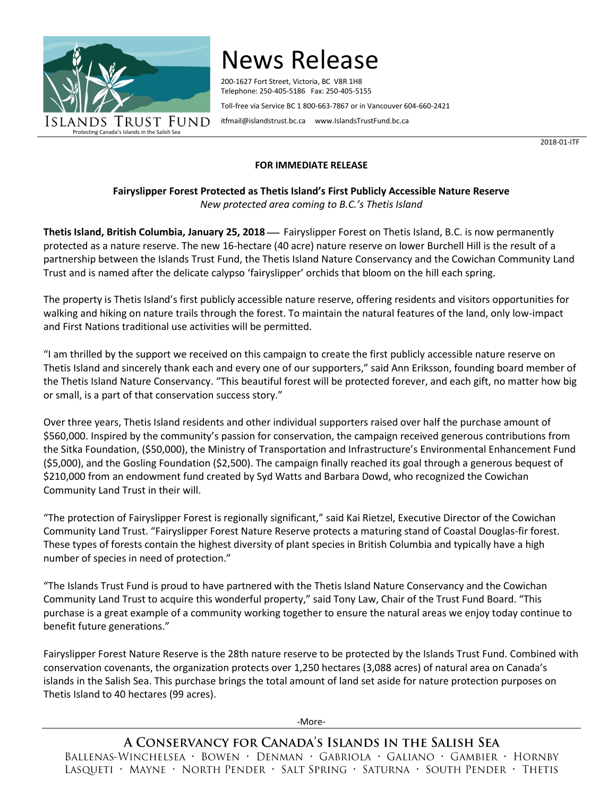

## News Release

200-1627 Fort Street, Victoria, BC V8R 1H8 Telephone: 250-405-5186 Fax: 250-405-5155 Toll-free via Service BC 1 800-663-7867 or in Vancouver 604-660-2421

[itfmail@islandstrust.bc.ca](mailto:itfmail@islandstrust.bc.ca) [www.IslandsTrustFund.bc.ca](http://www.islandstrustfund.bc.ca/)

2018-01-ITF

## **FOR IMMEDIATE RELEASE**

**Fairyslipper Forest Protected as Thetis Island's First Publicly Accessible Nature Reserve** *New protected area coming to B.C.'s Thetis Island*

**Thetis Island, British Columbia, January 25, 2018** Fairyslipper Forest on Thetis Island, B.C. is now permanently protected as a nature reserve. The new 16-hectare (40 acre) nature reserve on lower Burchell Hill is the result of a partnership between the Islands Trust Fund, the Thetis Island Nature Conservancy and the Cowichan Community Land Trust and is named after the delicate calypso 'fairyslipper' orchids that bloom on the hill each spring.

The property is Thetis Island's first publicly accessible nature reserve, offering residents and visitors opportunities for walking and hiking on nature trails through the forest. To maintain the natural features of the land, only low-impact and First Nations traditional use activities will be permitted.

"I am thrilled by the support we received on this campaign to create the first publicly accessible nature reserve on Thetis Island and sincerely thank each and every one of our supporters," said Ann Eriksson, founding board member of the Thetis Island Nature Conservancy. "This beautiful forest will be protected forever, and each gift, no matter how big or small, is a part of that conservation success story."

Over three years, Thetis Island residents and other individual supporters raised over half the purchase amount of \$560,000. Inspired by the community's passion for conservation, the campaign received generous contributions from the Sitka Foundation, (\$50,000), the Ministry of Transportation and Infrastructure's Environmental Enhancement Fund (\$5,000), and the Gosling Foundation (\$2,500). The campaign finally reached its goal through a generous bequest of \$210,000 from an endowment fund created by Syd Watts and Barbara Dowd, who recognized the Cowichan Community Land Trust in their will.

"The protection of Fairyslipper Forest is regionally significant," said Kai Rietzel, Executive Director of the Cowichan Community Land Trust. "Fairyslipper Forest Nature Reserve protects a maturing stand of Coastal Douglas-fir forest. These types of forests contain the highest diversity of plant species in British Columbia and typically have a high number of species in need of protection."

"The Islands Trust Fund is proud to have partnered with the Thetis Island Nature Conservancy and the Cowichan Community Land Trust to acquire this wonderful property," said Tony Law, Chair of the Trust Fund Board. "This purchase is a great example of a community working together to ensure the natural areas we enjoy today continue to benefit future generations."

Fairyslipper Forest Nature Reserve is the 28th nature reserve to be protected by the Islands Trust Fund. Combined with conservation covenants, the organization protects over 1,250 hectares (3,088 acres) of natural area on Canada's islands in the Salish Sea. This purchase brings the total amount of land set aside for nature protection purposes on Thetis Island to 40 hectares (99 acres).

-More-